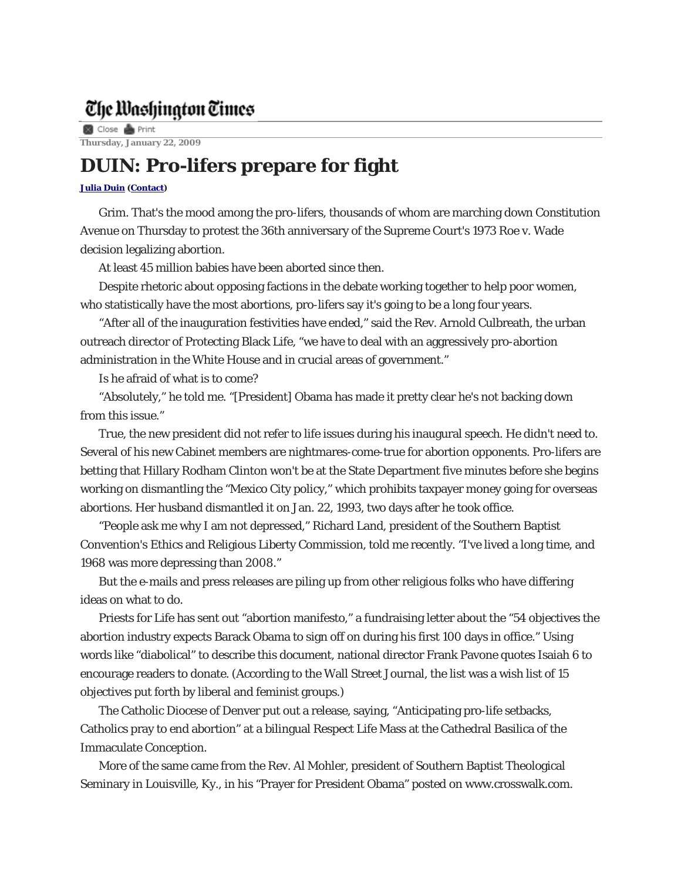## The Washington Times

**8** Close **&** Print **Thursday, January 22, 2009** 

## **DUIN: Pro-lifers prepare for fight**

## **Julia Duin (Contact)**

Grim. That's the mood among the pro-lifers, thousands of whom are marching down Constitution Avenue on Thursday to protest the 36th anniversary of the Supreme Court's 1973 Roe v. Wade decision legalizing abortion.

At least 45 million babies have been aborted since then.

Despite rhetoric about opposing factions in the debate working together to help poor women, who statistically have the most abortions, pro-lifers say it's going to be a long four years.

"After all of the inauguration festivities have ended," said the Rev. Arnold Culbreath, the urban outreach director of Protecting Black Life, "we have to deal with an aggressively pro-abortion administration in the White House and in crucial areas of government."

Is he afraid of what is to come?

"Absolutely," he told me. "[President] Obama has made it pretty clear he's not backing down from this issue."

True, the new president did not refer to life issues during his inaugural speech. He didn't need to. Several of his new Cabinet members are nightmares-come-true for abortion opponents. Pro-lifers are betting that Hillary Rodham Clinton won't be at the State Department five minutes before she begins working on dismantling the "Mexico City policy," which prohibits taxpayer money going for overseas abortions. Her husband dismantled it on Jan. 22, 1993, two days after he took office.

"People ask me why I am not depressed," Richard Land, president of the Southern Baptist Convention's Ethics and Religious Liberty Commission, told me recently. "I've lived a long time, and 1968 was more depressing than 2008."

But the e-mails and press releases are piling up from other religious folks who have differing ideas on what to do.

Priests for Life has sent out "abortion manifesto," a fundraising letter about the "54 objectives the abortion industry expects Barack Obama to sign off on during his first 100 days in office." Using words like "diabolical" to describe this document, national director Frank Pavone quotes Isaiah 6 to encourage readers to donate. (According to the Wall Street Journal, the list was a wish list of 15 objectives put forth by liberal and feminist groups.)

The Catholic Diocese of Denver put out a release, saying, "Anticipating pro-life setbacks, Catholics pray to end abortion" at a bilingual Respect Life Mass at the Cathedral Basilica of the Immaculate Conception.

More of the same came from the Rev. Al Mohler, president of Southern Baptist Theological Seminary in Louisville, Ky., in his "Prayer for President Obama" posted on www.crosswalk.com.